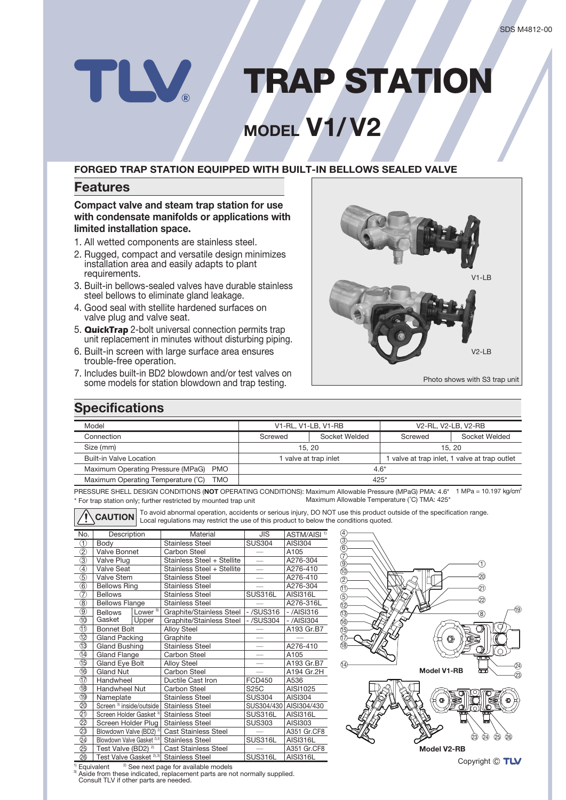## **TRAP STATION** TLV

# **WODEL V1/V2**

### **FORGED TRAP STATION EQUIPPED WITH BUILT-IN BELLOWS SEALED VALVE**

### **Features**

#### **Compact valve and steam trap station for use** with condensate manifolds or applications with **limited installation space.**

- 1. All wetted components are stainless steel.
- 2. Rugged, compact and versatile design minimizes installation area and easily adapts to plant .requirements
- 3. Built-in bellows-sealed valves have durable stainless steel bellows to eliminate gland leakage.
- 4. Good seal with stellite hardened surfaces on valve plug and valve seat.
- 5. **QuickTrap** 2-bolt universal connection permits trap unit replacement in minutes without disturbing piping.
- 6. Built-in screen with large surface area ensures trouble-free operation.
- 7. Includes built-in BD2 blowdown and/or test valves on some models for station blowdown and trap testing.



Photo shows with S3 trap unit

## **Specifications**

| Model                                     | V1-RL, V1-LB, V1-RB                                                |               | V2-RL, V2-LB, V2-RB |               |
|-------------------------------------------|--------------------------------------------------------------------|---------------|---------------------|---------------|
| Connection                                | Screwed                                                            | Socket Welded | Screwed             | Socket Welded |
| Size (mm)                                 | 15.20                                                              |               | 15.20               |               |
| <b>Built-in Valve Location</b>            | valve at trap inlet, 1 valve at trap outlet<br>valve at trap inlet |               |                     |               |
| Maximum Operating Pressure (MPaG)<br>PMO  | $4.6*$                                                             |               |                     |               |
| Maximum Operating Temperature (°C)<br>TMO | $425*$                                                             |               |                     |               |

PRESSURE SHELL DESIGN CONDITIONS (NOT OPERATING CONDITIONS): Maximum Allowable Pressure (MPaG) PMA: 4.6\* 1 MPa = 10.197 kg/cm<sup>2</sup> \* For trap station only; further restricted by mounted trap unit Maximum Allowable Temperature (°C) TMA: 425'

**CAUTION** To avoid abnormal operation, accidents or serious injury, DO NOT use this product outside of the specification range.<br> **CAUTION** Local regulations may restrict the use of this product to below the conditions quot

| ت                             |                                         |                     | Local regulations may restrict the due of this product to below th |               |                         |
|-------------------------------|-----------------------------------------|---------------------|--------------------------------------------------------------------|---------------|-------------------------|
| No.                           | Description                             |                     | Material                                                           | JIS           | ASTM/AISI <sup>1)</sup> |
| T.                            | Body                                    |                     | <b>Stainless Steel</b>                                             | <b>SUS304</b> | <b>AISI304</b>          |
| $\overline{2}$                | Valve Bonnet                            |                     | Carbon Steel                                                       |               | A105                    |
| $\overline{3}$                | Valve Plug                              |                     | Stainless Steel + Stellite                                         |               | A276-304                |
| A,                            | <b>Valve Seat</b>                       |                     | Stainless Steel + Stellite                                         |               | A276-410                |
| 5                             | <b>Valve Stem</b>                       |                     | <b>Stainless Steel</b>                                             |               | A276-410                |
| $\overline{6}$                | <b>Bellows Ring</b>                     |                     | <b>Stainless Steel</b>                                             |               | A276-304                |
| $\overline{\tau}$             | <b>Bellows</b>                          |                     | <b>Stainless Steel</b>                                             | SUS316L       | <b>AISI316L</b>         |
| $^\circledR$                  | <b>Bellows Flange</b>                   |                     | <b>Stainless Steel</b>                                             |               | A276-316L               |
| $\overline{9}$                | <b>Bellows</b>                          | Lower <sup>3)</sup> | Graphite/Stainless Steel                                           | $-$ /SUS316   | -/AISI316               |
| $\overline{10}$               | Gasket                                  | Upper               | Graphite/Stainless Steel                                           | $-$ /SUS304   | -/AISI304               |
| M                             | <b>Bonnet Bolt</b>                      |                     | <b>Alloy Steel</b>                                                 |               | A193 Gr.B7              |
| $\overline{12}$               | <b>Gland Packing</b>                    |                     | Graphite                                                           |               |                         |
| $\overline{\mathbb{G}}$       | <b>Gland Bushing</b>                    |                     | <b>Stainless Steel</b>                                             |               | A276-410                |
| ⑭                             | Gland Flange                            |                     | Carbon Steel                                                       |               | A105                    |
| G                             | Gland Eye Bolt                          |                     | <b>Alloy Steel</b>                                                 |               | A193 Gr.B7              |
| 16                            | <b>Gland Nut</b>                        |                     | <b>Carbon Steel</b>                                                |               | A194 Gr.2H              |
| $\overline{\mathbb{O}}$       | Handwheel                               |                     | Ductile Cast Iron                                                  | <b>FCD450</b> | A536                    |
| 18                            | Handwheel Nut                           |                     | Carbon Steel                                                       | <b>S25C</b>   | AISI1025                |
| 19                            | Nameplate                               |                     | <b>Stainless Steel</b>                                             | <b>SUS304</b> | AISI304                 |
| 20                            | Screen <sup>3</sup> inside/outside      |                     | <b>Stainless Steel</b>                                             | SUS304/430    | AISI304/430             |
| 図                             | Screen Holder Gasket <sup>3)</sup>      |                     | <b>Stainless Steel</b>                                             | SUS316L       | <b>AISI316L</b>         |
| $\overline{\mathcal{O}}$      | Screen Holder Plug                      |                     | <b>Stainless Steel</b>                                             | <b>SUS303</b> | AISI303                 |
| 23                            | Blowdown Valve (BD2) <sup>2)</sup>      |                     | <b>Cast Stainless Steel</b>                                        |               | A351 Gr.CF8             |
|                               | Blowdown Valve Gasket <sup> 2),3)</sup> |                     | <b>Stainless Steel</b>                                             | SUS316L       | <b>AISI316L</b>         |
| $\overline{\textcircled{25}}$ | Test Valve (BD2) <sup>2)</sup>          |                     | <b>Cast Stainless Steel</b>                                        |               | A351 Gr.CF8             |
| $\overline{26}$               | Test Valve Gasket <sup>2),3)</sup>      |                     | <b>Stainless Steel</b>                                             | SUS316L       | <b>AISI316L</b>         |



 $\sqrt{1}$ Equivalent  $2)$  See next page for available models

<sup>3)</sup> Aside from these indicated, replacement parts are not normally supplied.<br>Consult TLV if other parts are needed.